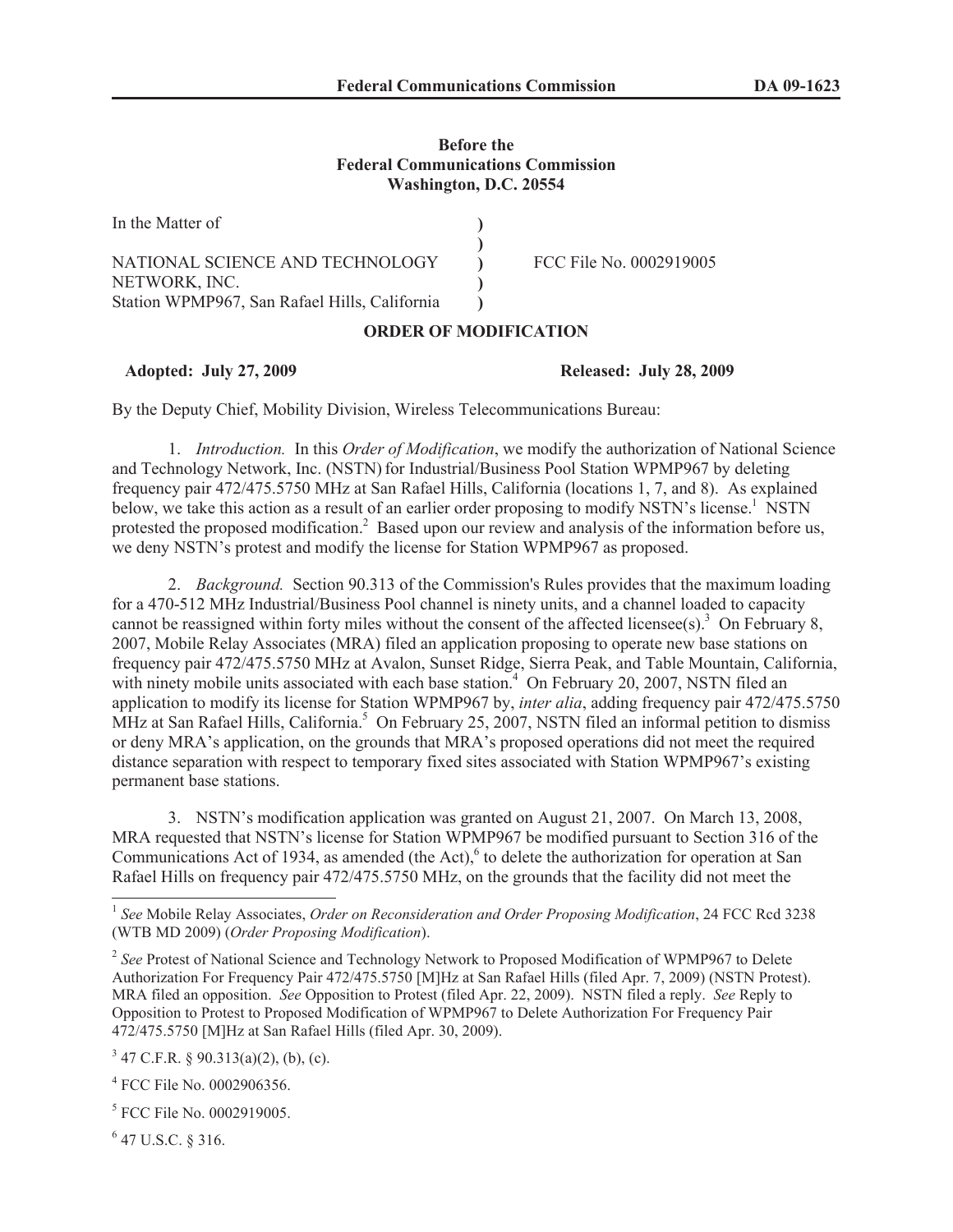## **Before the Federal Communications Commission Washington, D.C. 20554**

| In the Matter of                                                                                  |                         |
|---------------------------------------------------------------------------------------------------|-------------------------|
| NATIONAL SCIENCE AND TECHNOLOGY<br>NETWORK, INC.<br>Station WPMP967, San Rafael Hills, California | FCC File No. 0002919005 |
|                                                                                                   |                         |

## **ORDER OF MODIFICATION**

## **Adopted: July 27, 2009 Released: July 28, 2009**

By the Deputy Chief, Mobility Division, Wireless Telecommunications Bureau:

1. *Introduction.* In this *Order of Modification*, we modify the authorization of National Science and Technology Network, Inc. (NSTN) for Industrial/Business Pool Station WPMP967 by deleting frequency pair 472/475.5750 MHz at San Rafael Hills, California (locations 1, 7, and 8). As explained below, we take this action as a result of an earlier order proposing to modify NSTN's license.<sup>1</sup> NSTN protested the proposed modification.<sup>2</sup> Based upon our review and analysis of the information before us, we deny NSTN's protest and modify the license for Station WPMP967 as proposed.

2. *Background.* Section 90.313 of the Commission's Rules provides that the maximum loading for a 470-512 MHz Industrial/Business Pool channel is ninety units, and a channel loaded to capacity cannot be reassigned within forty miles without the consent of the affected licensee(s).<sup>3</sup> On February 8, 2007, Mobile Relay Associates (MRA) filed an application proposing to operate new base stations on frequency pair 472/475.5750 MHz at Avalon, Sunset Ridge, Sierra Peak, and Table Mountain, California, with ninety mobile units associated with each base station.<sup>4</sup> On February 20, 2007, NSTN filed an application to modify its license for Station WPMP967 by, *inter alia*, adding frequency pair 472/475.5750 MHz at San Rafael Hills, California.<sup>5</sup> On February 25, 2007, NSTN filed an informal petition to dismiss or deny MRA's application, on the grounds that MRA's proposed operations did not meet the required distance separation with respect to temporary fixed sites associated with Station WPMP967's existing permanent base stations.

3. NSTN's modification application was granted on August 21, 2007. On March 13, 2008, MRA requested that NSTN's license for Station WPMP967 be modified pursuant to Section 316 of the Communications Act of 1934, as amended (the Act),<sup>6</sup> to delete the authorization for operation at San Rafael Hills on frequency pair 472/475.5750 MHz, on the grounds that the facility did not meet the

 $6$  47 U.S.C. § 316.

<sup>&</sup>lt;sup>1</sup> See Mobile Relay Associates, Order on Reconsideration and Order Proposing Modification, 24 FCC Rcd 3238 (WTB MD 2009) (*Order Proposing Modification*).

<sup>&</sup>lt;sup>2</sup> See Protest of National Science and Technology Network to Proposed Modification of WPMP967 to Delete Authorization For Frequency Pair 472/475.5750 [M]Hz at San Rafael Hills (filed Apr. 7, 2009) (NSTN Protest). MRA filed an opposition. *See* Opposition to Protest (filed Apr. 22, 2009). NSTN filed a reply. *See* Reply to Opposition to Protest to Proposed Modification of WPMP967 to Delete Authorization For Frequency Pair 472/475.5750 [M]Hz at San Rafael Hills (filed Apr. 30, 2009).

 $3\,47$  C.F.R. § 90.313(a)(2), (b), (c).

<sup>4</sup> FCC File No. 0002906356.

<sup>5</sup> FCC File No. 0002919005.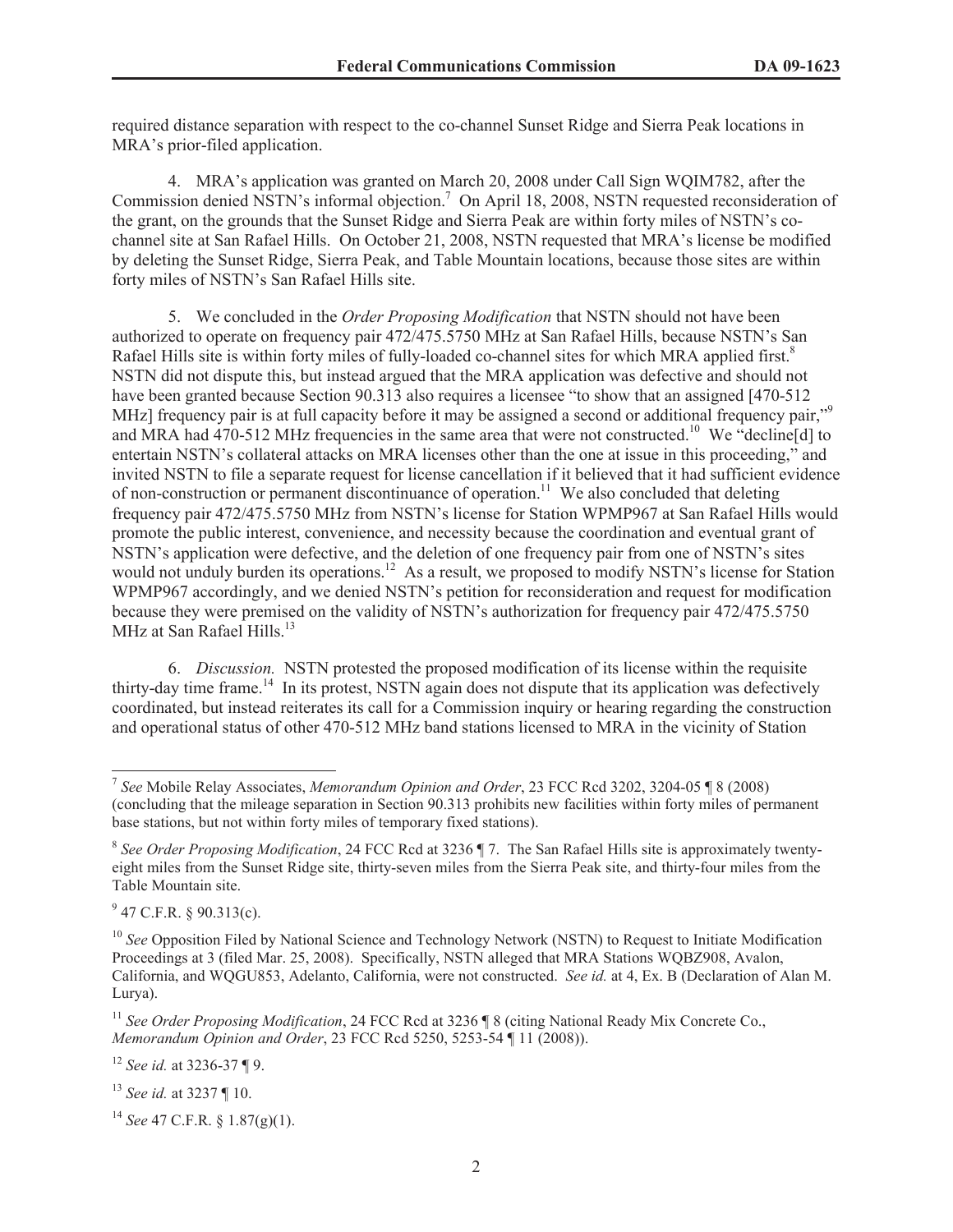required distance separation with respect to the co-channel Sunset Ridge and Sierra Peak locations in MRA's prior-filed application.

4. MRA's application was granted on March 20, 2008 under Call Sign WQIM782, after the Commission denied NSTN's informal objection.<sup>7</sup> On April 18, 2008, NSTN requested reconsideration of the grant, on the grounds that the Sunset Ridge and Sierra Peak are within forty miles of NSTN's cochannel site at San Rafael Hills. On October 21, 2008, NSTN requested that MRA's license be modified by deleting the Sunset Ridge, Sierra Peak, and Table Mountain locations, because those sites are within forty miles of NSTN's San Rafael Hills site.

5. We concluded in the *Order Proposing Modification* that NSTN should not have been authorized to operate on frequency pair 472/475.5750 MHz at San Rafael Hills, because NSTN's San Rafael Hills site is within forty miles of fully-loaded co-channel sites for which MRA applied first.<sup>8</sup> NSTN did not dispute this, but instead argued that the MRA application was defective and should not have been granted because Section 90.313 also requires a licensee "to show that an assigned [470-512 MHz] frequency pair is at full capacity before it may be assigned a second or additional frequency pair,"<sup>9</sup> and MRA had 470-512 MHz frequencies in the same area that were not constructed.<sup>10</sup> We "decline[d] to entertain NSTN's collateral attacks on MRA licenses other than the one at issue in this proceeding," and invited NSTN to file a separate request for license cancellation if it believed that it had sufficient evidence of non-construction or permanent discontinuance of operation.<sup>11</sup> We also concluded that deleting frequency pair 472/475.5750 MHz from NSTN's license for Station WPMP967 at San Rafael Hills would promote the public interest, convenience, and necessity because the coordination and eventual grant of NSTN's application were defective, and the deletion of one frequency pair from one of NSTN's sites would not unduly burden its operations.<sup>12</sup> As a result, we proposed to modify NSTN's license for Station WPMP967 accordingly, and we denied NSTN's petition for reconsideration and request for modification because they were premised on the validity of NSTN's authorization for frequency pair 472/475.5750 MHz at San Rafael Hills.<sup>13</sup>

6. *Discussion.* NSTN protested the proposed modification of its license within the requisite thirty-day time frame.<sup>14</sup> In its protest, NSTN again does not dispute that its application was defectively coordinated, but instead reiterates its call for a Commission inquiry or hearing regarding the construction and operational status of other 470-512 MHz band stations licensed to MRA in the vicinity of Station

 $9^9$  47 C.F.R. § 90.313(c).

<sup>12</sup> *See id.* at 3236-37 ¶ 9.

<sup>13</sup> *See id.* at 3237 ¶ 10.

<sup>14</sup> *See* 47 C.F.R. § 1.87(g)(1).

<sup>7</sup> *See* Mobile Relay Associates, *Memorandum Opinion and Order*, 23 FCC Rcd 3202, 3204-05 ¶ 8 (2008) (concluding that the mileage separation in Section 90.313 prohibits new facilities within forty miles of permanent base stations, but not within forty miles of temporary fixed stations).

<sup>8</sup> *See Order Proposing Modification*, 24 FCC Rcd at 3236 ¶ 7. The San Rafael Hills site is approximately twentyeight miles from the Sunset Ridge site, thirty-seven miles from the Sierra Peak site, and thirty-four miles from the Table Mountain site.

<sup>&</sup>lt;sup>10</sup> *See* Opposition Filed by National Science and Technology Network (NSTN) to Request to Initiate Modification Proceedings at 3 (filed Mar. 25, 2008). Specifically, NSTN alleged that MRA Stations WQBZ908, Avalon, California, and WQGU853, Adelanto, California, were not constructed. *See id.* at 4, Ex. B (Declaration of Alan M. Lurya).

<sup>&</sup>lt;sup>11</sup> *See Order Proposing Modification*, 24 FCC Rcd at 3236 ¶ 8 (citing National Ready Mix Concrete Co., *Memorandum Opinion and Order*, 23 FCC Rcd 5250, 5253-54 ¶ 11 (2008)).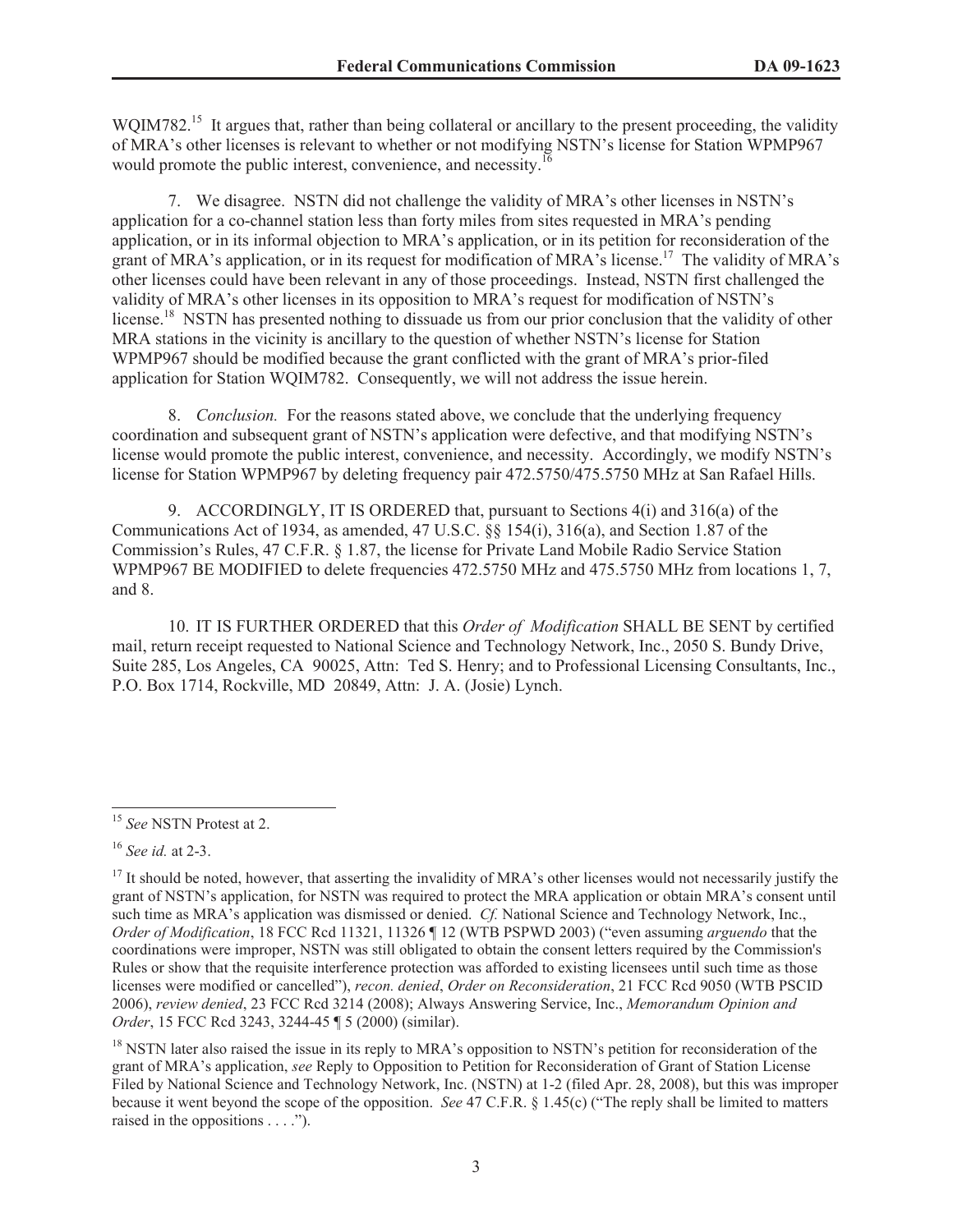WQIM782<sup>15</sup> It argues that, rather than being collateral or ancillary to the present proceeding, the validity of MRA's other licenses is relevant to whether or not modifying NSTN's license for Station WPMP967 would promote the public interest, convenience, and necessity.<sup>16</sup>

7. We disagree. NSTN did not challenge the validity of MRA's other licenses in NSTN's application for a co-channel station less than forty miles from sites requested in MRA's pending application, or in its informal objection to MRA's application, or in its petition for reconsideration of the grant of MRA's application, or in its request for modification of MRA's license.<sup>17</sup> The validity of MRA's other licenses could have been relevant in any of those proceedings. Instead, NSTN first challenged the validity of MRA's other licenses in its opposition to MRA's request for modification of NSTN's license.<sup>18</sup> NSTN has presented nothing to dissuade us from our prior conclusion that the validity of other MRA stations in the vicinity is ancillary to the question of whether NSTN's license for Station WPMP967 should be modified because the grant conflicted with the grant of MRA's prior-filed application for Station WQIM782. Consequently, we will not address the issue herein.

8. *Conclusion.* For the reasons stated above, we conclude that the underlying frequency coordination and subsequent grant of NSTN's application were defective, and that modifying NSTN's license would promote the public interest, convenience, and necessity. Accordingly, we modify NSTN's license for Station WPMP967 by deleting frequency pair 472.5750/475.5750 MHz at San Rafael Hills.

9. ACCORDINGLY, IT IS ORDERED that, pursuant to Sections 4(i) and 316(a) of the Communications Act of 1934, as amended, 47 U.S.C. §§ 154(i), 316(a), and Section 1.87 of the Commission's Rules, 47 C.F.R. § 1.87, the license for Private Land Mobile Radio Service Station WPMP967 BE MODIFIED to delete frequencies 472.5750 MHz and 475.5750 MHz from locations 1, 7, and 8.

10. IT IS FURTHER ORDERED that this *Order of Modification* SHALL BE SENT by certified mail, return receipt requested to National Science and Technology Network, Inc., 2050 S. Bundy Drive, Suite 285, Los Angeles, CA 90025, Attn: Ted S. Henry; and to Professional Licensing Consultants, Inc., P.O. Box 1714, Rockville, MD 20849, Attn: J. A. (Josie) Lynch.

<sup>18</sup> NSTN later also raised the issue in its reply to MRA's opposition to NSTN's petition for reconsideration of the grant of MRA's application, *see* Reply to Opposition to Petition for Reconsideration of Grant of Station License Filed by National Science and Technology Network, Inc. (NSTN) at 1-2 (filed Apr. 28, 2008), but this was improper because it went beyond the scope of the opposition. *See* 47 C.F.R. § 1.45(c) ("The reply shall be limited to matters raised in the oppositions . . . .").

<sup>15</sup> *See* NSTN Protest at 2.

<sup>16</sup> *See id.* at 2-3.

<sup>&</sup>lt;sup>17</sup> It should be noted, however, that asserting the invalidity of MRA's other licenses would not necessarily justify the grant of NSTN's application, for NSTN was required to protect the MRA application or obtain MRA's consent until such time as MRA's application was dismissed or denied. *Cf.* National Science and Technology Network, Inc., *Order of Modification*, 18 FCC Rcd 11321, 11326 ¶ 12 (WTB PSPWD 2003) ("even assuming *arguendo* that the coordinations were improper, NSTN was still obligated to obtain the consent letters required by the Commission's Rules or show that the requisite interference protection was afforded to existing licensees until such time as those licenses were modified or cancelled"), *recon. denied*, *Order on Reconsideration*, 21 FCC Rcd 9050 (WTB PSCID 2006), *review denied*, 23 FCC Rcd 3214 (2008); Always Answering Service, Inc., *Memorandum Opinion and Order*, 15 FCC Rcd 3243, 3244-45 ¶ 5 (2000) (similar).